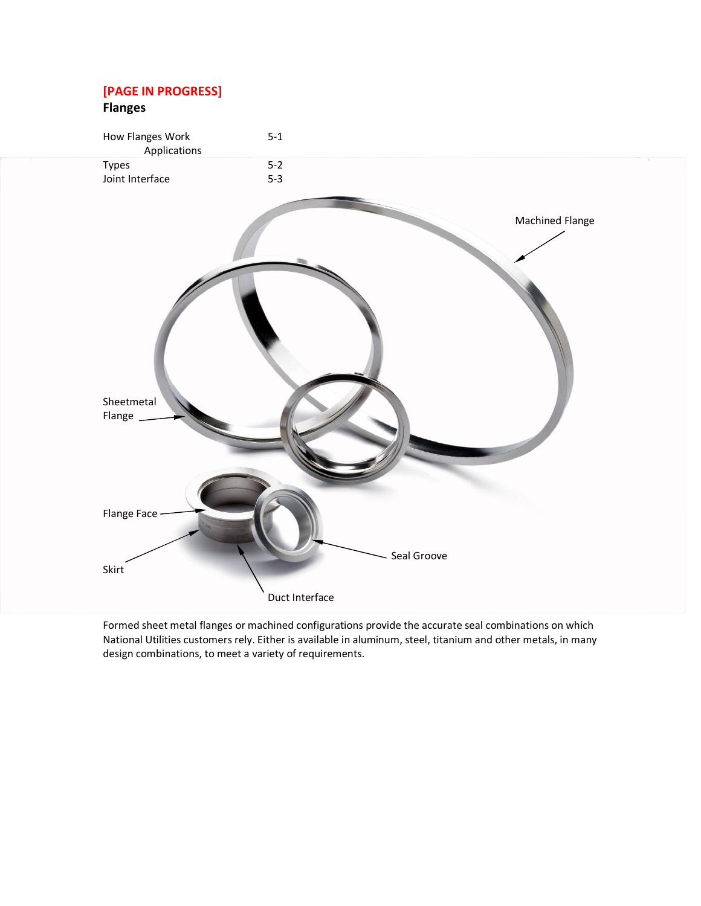# **[PAGE IN PROGRESS]**

# **Flanges**



Formed sheet metal flanges or machined configurations provide the accurate seal combinations on which National Utilities customers rely. Either is available in aluminum, steel, titanium and other metals, in many design combinations, to meet a variety of requirements.